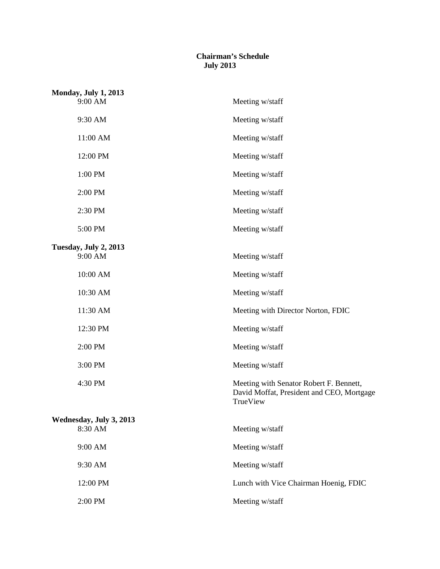## **Chairman's Schedule July 2013**

| <b>Monday, July 1, 2013</b> |  |                                                                                                  |
|-----------------------------|--|--------------------------------------------------------------------------------------------------|
| 9:00 AM                     |  | Meeting w/staff                                                                                  |
| 9:30 AM                     |  | Meeting w/staff                                                                                  |
| 11:00 AM                    |  | Meeting w/staff                                                                                  |
| 12:00 PM                    |  | Meeting w/staff                                                                                  |
| $1:00$ $\mathrm{PM}$        |  | Meeting w/staff                                                                                  |
| 2:00 PM                     |  | Meeting w/staff                                                                                  |
| 2:30 PM                     |  | Meeting w/staff                                                                                  |
| 5:00 PM                     |  | Meeting w/staff                                                                                  |
| Tuesday, July 2, 2013       |  |                                                                                                  |
| 9:00 AM                     |  | Meeting w/staff                                                                                  |
| 10:00 AM                    |  | Meeting w/staff                                                                                  |
| 10:30 AM                    |  | Meeting w/staff                                                                                  |
| 11:30 AM                    |  | Meeting with Director Norton, FDIC                                                               |
| 12:30 PM                    |  | Meeting w/staff                                                                                  |
| 2:00 PM                     |  | Meeting w/staff                                                                                  |
| 3:00 PM                     |  | Meeting w/staff                                                                                  |
| 4:30 PM                     |  | Meeting with Senator Robert F. Bennett,<br>David Moffat, President and CEO, Mortgage<br>TrueView |
| Wednesday, July 3, 2013     |  |                                                                                                  |
| 8:30 AM                     |  | Meeting w/staff                                                                                  |
| 9:00 AM                     |  | Meeting w/staff                                                                                  |
| 9:30 AM                     |  | Meeting w/staff                                                                                  |
| 12:00 PM                    |  | Lunch with Vice Chairman Hoenig, FDIC                                                            |
| 2:00 PM                     |  | Meeting w/staff                                                                                  |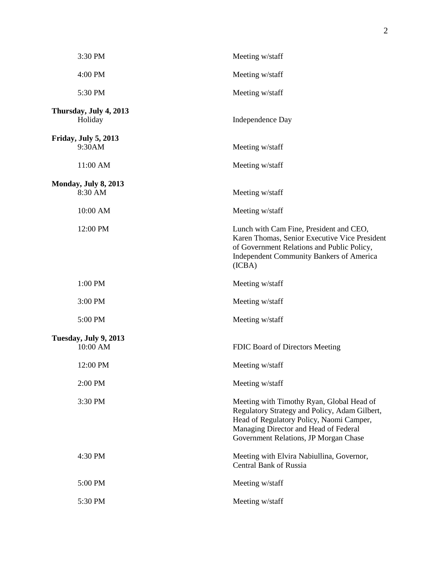| 3:30 PM                           | Meeting w/staff                                                                                                                                                                                                          |
|-----------------------------------|--------------------------------------------------------------------------------------------------------------------------------------------------------------------------------------------------------------------------|
| 4:00 PM                           | Meeting w/staff                                                                                                                                                                                                          |
| 5:30 PM                           | Meeting w/staff                                                                                                                                                                                                          |
| Thursday, July 4, 2013<br>Holiday | Independence Day                                                                                                                                                                                                         |
| Friday, July 5, 2013<br>9:30AM    | Meeting w/staff                                                                                                                                                                                                          |
| 11:00 AM                          | Meeting w/staff                                                                                                                                                                                                          |
| Monday, July 8, 2013<br>8:30 AM   | Meeting w/staff                                                                                                                                                                                                          |
| 10:00 AM                          | Meeting w/staff                                                                                                                                                                                                          |
| 12:00 PM                          | Lunch with Cam Fine, President and CEO,<br>Karen Thomas, Senior Executive Vice President<br>of Government Relations and Public Policy,<br><b>Independent Community Bankers of America</b><br>(ICBA)                      |
| 1:00 PM                           | Meeting w/staff                                                                                                                                                                                                          |
| 3:00 PM                           | Meeting w/staff                                                                                                                                                                                                          |
| 5:00 PM                           | Meeting w/staff                                                                                                                                                                                                          |
| Tuesday, July 9, 2013<br>10:00 AM | FDIC Board of Directors Meeting                                                                                                                                                                                          |
| 12:00 PM                          | Meeting w/staff                                                                                                                                                                                                          |
| 2:00 PM                           | Meeting w/staff                                                                                                                                                                                                          |
| 3:30 PM                           | Meeting with Timothy Ryan, Global Head of<br>Regulatory Strategy and Policy, Adam Gilbert,<br>Head of Regulatory Policy, Naomi Camper,<br>Managing Director and Head of Federal<br>Government Relations, JP Morgan Chase |
| 4:30 PM                           | Meeting with Elvira Nabiullina, Governor,<br><b>Central Bank of Russia</b>                                                                                                                                               |
| 5:00 PM                           | Meeting w/staff                                                                                                                                                                                                          |
| 5:30 PM                           | Meeting w/staff                                                                                                                                                                                                          |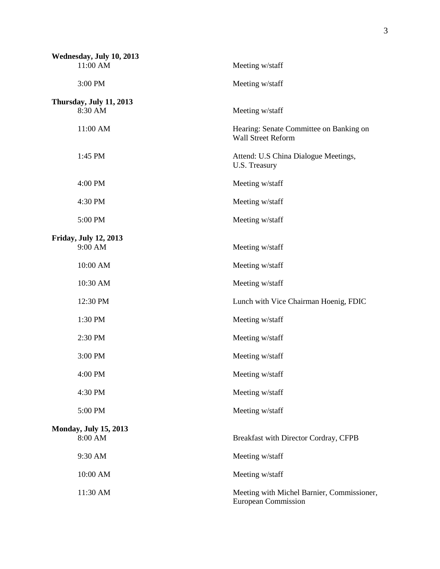| Wednesday, July 10, 2013<br>11:00 AM    | Meeting w/staff                                                          |
|-----------------------------------------|--------------------------------------------------------------------------|
| 3:00 PM                                 | Meeting w/staff                                                          |
| Thursday, July 11, 2013<br>8:30 AM      | Meeting w/staff                                                          |
| 11:00 AM                                | Hearing: Senate Committee on Banking on<br><b>Wall Street Reform</b>     |
| 1:45 PM                                 | Attend: U.S China Dialogue Meetings,<br>U.S. Treasury                    |
| 4:00 PM                                 | Meeting w/staff                                                          |
| 4:30 PM                                 | Meeting w/staff                                                          |
| 5:00 PM                                 | Meeting w/staff                                                          |
| <b>Friday, July 12, 2013</b><br>9:00 AM | Meeting w/staff                                                          |
| 10:00 AM                                | Meeting w/staff                                                          |
| 10:30 AM                                | Meeting w/staff                                                          |
| 12:30 PM                                | Lunch with Vice Chairman Hoenig, FDIC                                    |
| 1:30 PM                                 | Meeting w/staff                                                          |
| 2:30 PM                                 | Meeting w/staff                                                          |
| 3:00 PM                                 | Meeting w/staff                                                          |
| 4:00 PM                                 | Meeting w/staff                                                          |
| 4:30 PM                                 | Meeting w/staff                                                          |
| 5:00 PM                                 | Meeting w/staff                                                          |
| <b>Monday, July 15, 2013</b><br>8:00 AM | Breakfast with Director Cordray, CFPB                                    |
| 9:30 AM                                 | Meeting w/staff                                                          |
| 10:00 AM                                | Meeting w/staff                                                          |
| 11:30 AM                                | Meeting with Michel Barnier, Commissioner,<br><b>European Commission</b> |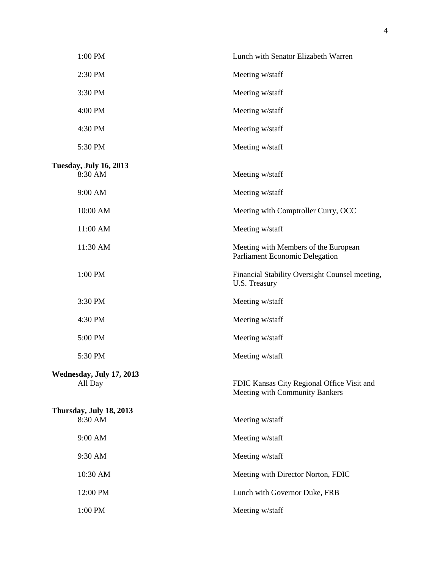| 1:00 PM                                  | Lunch with Senator Elizabeth Warren                                          |
|------------------------------------------|------------------------------------------------------------------------------|
| 2:30 PM                                  | Meeting w/staff                                                              |
| 3:30 PM                                  | Meeting w/staff                                                              |
| 4:00 PM                                  | Meeting w/staff                                                              |
| 4:30 PM                                  | Meeting w/staff                                                              |
| 5:30 PM                                  | Meeting w/staff                                                              |
| <b>Tuesday, July 16, 2013</b><br>8:30 AM | Meeting w/staff                                                              |
| 9:00 AM                                  | Meeting w/staff                                                              |
| 10:00 AM                                 | Meeting with Comptroller Curry, OCC                                          |
| 11:00 AM                                 | Meeting w/staff                                                              |
| 11:30 AM                                 | Meeting with Members of the European<br>Parliament Economic Delegation       |
| 1:00 PM                                  | Financial Stability Oversight Counsel meeting,<br>U.S. Treasury              |
| 3:30 PM                                  | Meeting w/staff                                                              |
| 4:30 PM                                  | Meeting w/staff                                                              |
| 5:00 PM                                  | Meeting w/staff                                                              |
| 5:30 PM                                  | Meeting w/staff                                                              |
| Wednesday, July 17, 2013<br>All Day      | FDIC Kansas City Regional Office Visit and<br>Meeting with Community Bankers |
| Thursday, July 18, 2013<br>8:30 AM       | Meeting w/staff                                                              |
| 9:00 AM                                  | Meeting w/staff                                                              |
| 9:30 AM                                  | Meeting w/staff                                                              |
| 10:30 AM                                 | Meeting with Director Norton, FDIC                                           |
| 12:00 PM                                 | Lunch with Governor Duke, FRB                                                |
| 1:00 PM                                  | Meeting w/staff                                                              |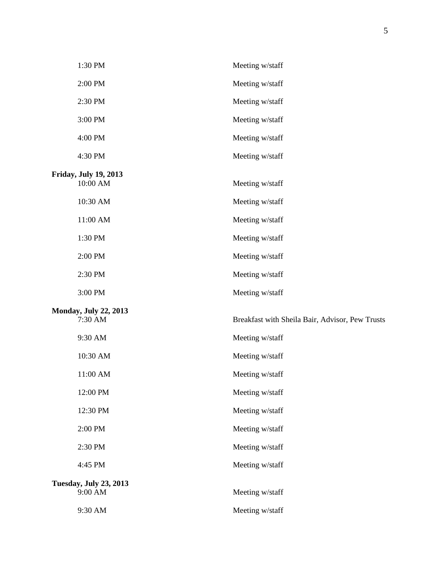| 1:30 PM                                  | Meeting w/staff                                 |
|------------------------------------------|-------------------------------------------------|
| 2:00 PM                                  | Meeting w/staff                                 |
| 2:30 PM                                  | Meeting w/staff                                 |
| 3:00 PM                                  | Meeting w/staff                                 |
| 4:00 PM                                  | Meeting w/staff                                 |
| 4:30 PM                                  | Meeting w/staff                                 |
| <b>Friday, July 19, 2013</b><br>10:00 AM | Meeting w/staff                                 |
| 10:30 AM                                 | Meeting w/staff                                 |
| 11:00 AM                                 | Meeting w/staff                                 |
| 1:30 PM                                  | Meeting w/staff                                 |
| 2:00 PM                                  | Meeting w/staff                                 |
| 2:30 PM                                  | Meeting w/staff                                 |
| 3:00 PM                                  | Meeting w/staff                                 |
| <b>Monday, July 22, 2013</b><br>7:30 AM  | Breakfast with Sheila Bair, Advisor, Pew Trusts |
| 9:30 AM                                  | Meeting w/staff                                 |
| 10:30 AM                                 | Meeting w/staff                                 |
| 11:00 AM                                 | Meeting w/staff                                 |
| 12:00 PM                                 | Meeting w/staff                                 |
| 12:30 PM                                 | Meeting w/staff                                 |
| 2:00 PM                                  | Meeting w/staff                                 |
| 2:30 PM                                  | Meeting w/staff                                 |
| 4:45 PM                                  | Meeting w/staff                                 |
| <b>Tuesday, July 23, 2013</b><br>9:00 AM | Meeting w/staff                                 |
| 9:30 AM                                  | Meeting w/staff                                 |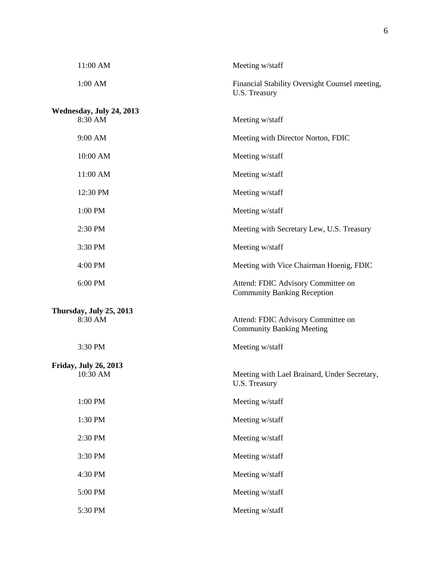| 11:00 AM                                 | Meeting w/staff                                                          |
|------------------------------------------|--------------------------------------------------------------------------|
| 1:00 AM                                  | Financial Stability Oversight Counsel meeting,<br>U.S. Treasury          |
| Wednesday, July 24, 2013<br>8:30 AM      | Meeting w/staff                                                          |
| 9:00 AM                                  | Meeting with Director Norton, FDIC                                       |
| 10:00 AM                                 | Meeting w/staff                                                          |
| 11:00 AM                                 | Meeting w/staff                                                          |
| 12:30 PM                                 | Meeting w/staff                                                          |
| 1:00 PM                                  | Meeting w/staff                                                          |
| 2:30 PM                                  | Meeting with Secretary Lew, U.S. Treasury                                |
| 3:30 PM                                  | Meeting w/staff                                                          |
| 4:00 PM                                  | Meeting with Vice Chairman Hoenig, FDIC                                  |
| 6:00 PM                                  | Attend: FDIC Advisory Committee on<br><b>Community Banking Reception</b> |
| Thursday, July 25, 2013                  |                                                                          |
| 8:30 AM                                  | Attend: FDIC Advisory Committee on<br><b>Community Banking Meeting</b>   |
| 3:30 PM                                  | Meeting w/staff                                                          |
| <b>Friday, July 26, 2013</b><br>10:30 AM | Meeting with Lael Brainard, Under Secretary,<br>U.S. Treasury            |
| 1:00 PM                                  | Meeting w/staff                                                          |
| 1:30 PM                                  | Meeting w/staff                                                          |
| 2:30 PM                                  | Meeting w/staff                                                          |
| 3:30 PM                                  | Meeting w/staff                                                          |
| 4:30 PM                                  | Meeting w/staff                                                          |
| 5:00 PM                                  | Meeting w/staff                                                          |
| 5:30 PM                                  | Meeting w/staff                                                          |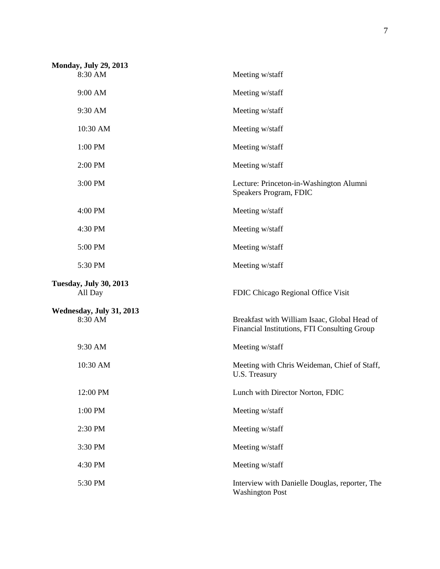| <b>Monday, July 29, 2013</b>             |                                                                                              |
|------------------------------------------|----------------------------------------------------------------------------------------------|
| 8:30 AM                                  | Meeting w/staff                                                                              |
| 9:00 AM                                  | Meeting w/staff                                                                              |
| 9:30 AM                                  | Meeting w/staff                                                                              |
| 10:30 AM                                 | Meeting w/staff                                                                              |
| 1:00 PM                                  | Meeting w/staff                                                                              |
| 2:00 PM                                  | Meeting w/staff                                                                              |
| 3:00 PM                                  | Lecture: Princeton-in-Washington Alumni<br>Speakers Program, FDIC                            |
| 4:00 PM                                  | Meeting w/staff                                                                              |
| 4:30 PM                                  | Meeting w/staff                                                                              |
| 5:00 PM                                  | Meeting w/staff                                                                              |
| 5:30 PM                                  | Meeting w/staff                                                                              |
| <b>Tuesday, July 30, 2013</b><br>All Day | FDIC Chicago Regional Office Visit                                                           |
| Wednesday, July 31, 2013                 |                                                                                              |
| 8:30 AM                                  | Breakfast with William Isaac, Global Head of<br>Financial Institutions, FTI Consulting Group |
| 9:30 AM                                  | Meeting w/staff                                                                              |
| 10:30 AM                                 | Meeting with Chris Weideman, Chief of Staff,<br><b>U.S. Treasury</b>                         |
| 12:00 PM                                 | Lunch with Director Norton, FDIC                                                             |
| 1:00 PM                                  | Meeting w/staff                                                                              |
| 2:30 PM                                  | Meeting w/staff                                                                              |
| 3:30 PM                                  | Meeting w/staff                                                                              |
| 4:30 PM                                  | Meeting w/staff                                                                              |
| 5:30 PM                                  | Interview with Danielle Douglas, reporter, The<br><b>Washington Post</b>                     |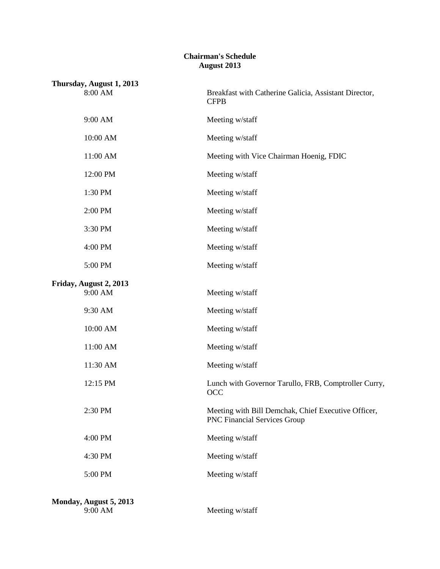## **Chairman's Schedule August 2013**

| Thursday, August 1, 2013          |                                                                                            |  |
|-----------------------------------|--------------------------------------------------------------------------------------------|--|
| 8:00 AM                           | Breakfast with Catherine Galicia, Assistant Director,<br><b>CFPB</b>                       |  |
| 9:00 AM                           | Meeting w/staff                                                                            |  |
| 10:00 AM                          | Meeting w/staff                                                                            |  |
| 11:00 AM                          | Meeting with Vice Chairman Hoenig, FDIC                                                    |  |
| 12:00 PM                          | Meeting w/staff                                                                            |  |
| 1:30 PM                           | Meeting w/staff                                                                            |  |
| 2:00 PM                           | Meeting w/staff                                                                            |  |
| 3:30 PM                           | Meeting w/staff                                                                            |  |
| 4:00 PM                           | Meeting w/staff                                                                            |  |
| 5:00 PM                           | Meeting w/staff                                                                            |  |
| Friday, August 2, 2013<br>9:00 AM | Meeting w/staff                                                                            |  |
| 9:30 AM                           | Meeting w/staff                                                                            |  |
| 10:00 AM                          | Meeting w/staff                                                                            |  |
| 11:00 AM                          | Meeting w/staff                                                                            |  |
| 11:30 AM                          | Meeting w/staff                                                                            |  |
| 12:15 PM                          | Lunch with Governor Tarullo, FRB, Comptroller Curry,<br><b>OCC</b>                         |  |
| 2:30 PM                           | Meeting with Bill Demchak, Chief Executive Officer,<br><b>PNC Financial Services Group</b> |  |
| 4:00 PM                           | Meeting w/staff                                                                            |  |
| 4:30 PM                           | Meeting w/staff                                                                            |  |
| 5:00 PM                           | Meeting w/staff                                                                            |  |
| Monday, August 5, 2013<br>9:00 AM | Meeting w/staff                                                                            |  |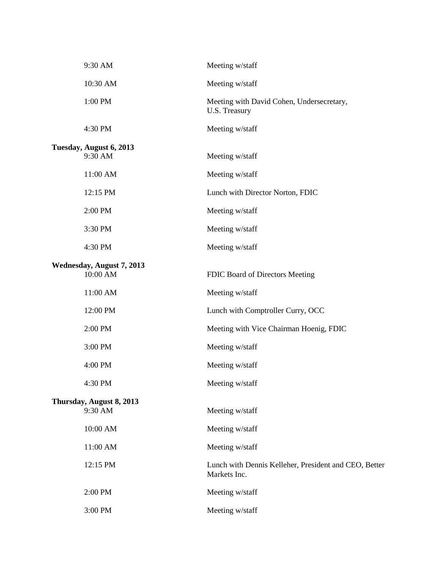| 9:30 AM                            | Meeting w/staff                                                       |
|------------------------------------|-----------------------------------------------------------------------|
| 10:30 AM                           | Meeting w/staff                                                       |
| 1:00 PM                            | Meeting with David Cohen, Undersecretary,<br>U.S. Treasury            |
| 4:30 PM                            | Meeting w/staff                                                       |
| Tuesday, August 6, 2013<br>9:30 AM | Meeting w/staff                                                       |
| 11:00 AM                           | Meeting w/staff                                                       |
| 12:15 PM                           | Lunch with Director Norton, FDIC                                      |
| 2:00 PM                            | Meeting w/staff                                                       |
| 3:30 PM                            | Meeting w/staff                                                       |
| 4:30 PM                            | Meeting w/staff                                                       |
| Wednesday, August 7, 2013          |                                                                       |
| 10:00 AM                           | FDIC Board of Directors Meeting                                       |
| 11:00 AM                           | Meeting w/staff                                                       |
| 12:00 PM                           | Lunch with Comptroller Curry, OCC                                     |
| 2:00 PM                            | Meeting with Vice Chairman Hoenig, FDIC                               |
| 3:00 PM                            | Meeting w/staff                                                       |
| 4:00 PM                            | Meeting w/staff                                                       |
| 4:30 PM                            | Meeting w/staff                                                       |
| Thursday, August 8, 2013           |                                                                       |
| 9:30 AM                            | Meeting w/staff                                                       |
| 10:00 AM                           | Meeting w/staff                                                       |
| 11:00 AM                           | Meeting w/staff                                                       |
| 12:15 PM                           | Lunch with Dennis Kelleher, President and CEO, Better<br>Markets Inc. |
| 2:00 PM                            | Meeting w/staff                                                       |
| 3:00 PM                            | Meeting w/staff                                                       |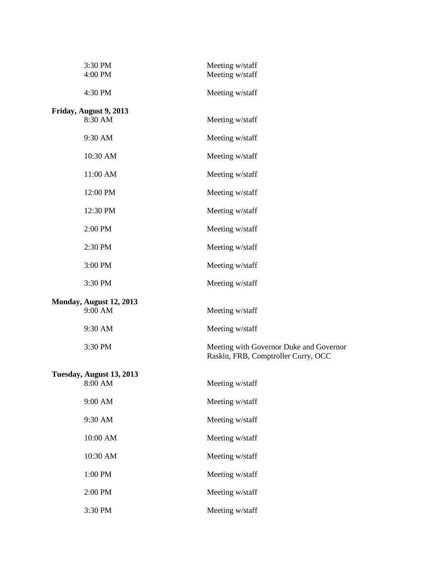| 3:30 PM<br>4:00 PM       | Meeting w/staff<br>Meeting w/staff                                             |
|--------------------------|--------------------------------------------------------------------------------|
| 4:30 PM                  | Meeting w/staff                                                                |
| Friday, August 9, 2013   |                                                                                |
| 8:30 AM                  | Meeting w/staff                                                                |
| 9:30 AM                  | Meeting w/staff                                                                |
| 10:30 AM                 | Meeting w/staff                                                                |
| 11:00 AM                 | Meeting w/staff                                                                |
| 12:00 PM                 | Meeting w/staff                                                                |
| 12:30 PM                 | Meeting w/staff                                                                |
| 2:00 PM                  | Meeting w/staff                                                                |
| 2:30 PM                  | Meeting w/staff                                                                |
| 3:00 PM                  | Meeting w/staff                                                                |
| 3:30 PM                  | Meeting w/staff                                                                |
| Monday, August 12, 2013  |                                                                                |
| 9:00 AM                  | Meeting w/staff                                                                |
| 9:30 AM                  | Meeting w/staff                                                                |
| 3:30 PM                  | Meeting with Governor Duke and Governor<br>Raskin, FRB, Comptroller Curry, OCC |
| Tuesday, August 13, 2013 |                                                                                |
| 8:00 AM                  | Meeting w/staff                                                                |
| 9:00 AM                  | Meeting w/staff                                                                |
| 9:30 AM                  | Meeting w/staff                                                                |
| 10:00 AM                 | Meeting w/staff                                                                |
| 10:30 AM                 | Meeting w/staff                                                                |
| 1:00 PM                  | Meeting w/staff                                                                |
| 2:00 PM                  | Meeting w/staff                                                                |
| 3:30 PM                  | Meeting w/staff                                                                |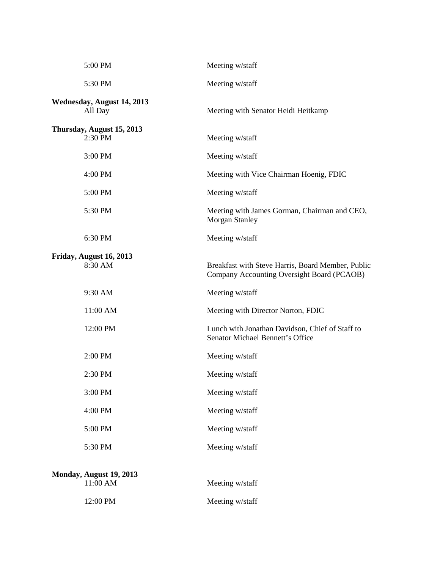| 5:00 PM                               | Meeting w/staff                                                                                 |
|---------------------------------------|-------------------------------------------------------------------------------------------------|
| 5:30 PM                               | Meeting w/staff                                                                                 |
| Wednesday, August 14, 2013<br>All Day | Meeting with Senator Heidi Heitkamp                                                             |
| Thursday, August 15, 2013<br>2:30 PM  | Meeting w/staff                                                                                 |
| 3:00 PM                               | Meeting w/staff                                                                                 |
| 4:00 PM                               | Meeting with Vice Chairman Hoenig, FDIC                                                         |
| 5:00 PM                               | Meeting w/staff                                                                                 |
| 5:30 PM                               | Meeting with James Gorman, Chairman and CEO,<br><b>Morgan Stanley</b>                           |
| 6:30 PM                               | Meeting w/staff                                                                                 |
| Friday, August 16, 2013<br>8:30 AM    | Breakfast with Steve Harris, Board Member, Public<br>Company Accounting Oversight Board (PCAOB) |
| 9:30 AM                               | Meeting w/staff                                                                                 |
| 11:00 AM                              | Meeting with Director Norton, FDIC                                                              |
| 12:00 PM                              | Lunch with Jonathan Davidson, Chief of Staff to<br><b>Senator Michael Bennett's Office</b>      |
| 2:00 PM                               | Meeting w/staff                                                                                 |
| 2:30 PM                               | Meeting w/staff                                                                                 |
| 3:00 PM                               | Meeting w/staff                                                                                 |
| 4:00 PM                               | Meeting w/staff                                                                                 |
| 5:00 PM                               | Meeting w/staff                                                                                 |
| 5:30 PM                               | Meeting w/staff                                                                                 |
| Monday, August 19, 2013<br>11:00 AM   | Meeting w/staff                                                                                 |
| 12:00 PM                              | Meeting w/staff                                                                                 |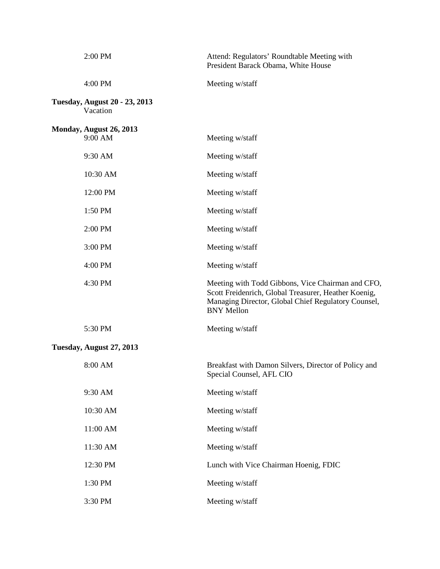| 2:00 PM                                          | Attend: Regulators' Roundtable Meeting with<br>President Barack Obama, White House                                                                                                    |
|--------------------------------------------------|---------------------------------------------------------------------------------------------------------------------------------------------------------------------------------------|
| 4:00 PM                                          | Meeting w/staff                                                                                                                                                                       |
| <b>Tuesday, August 20 - 23, 2013</b><br>Vacation |                                                                                                                                                                                       |
| Monday, August 26, 2013                          |                                                                                                                                                                                       |
| 9:00 AM                                          | Meeting w/staff                                                                                                                                                                       |
| 9:30 AM                                          | Meeting w/staff                                                                                                                                                                       |
| 10:30 AM                                         | Meeting w/staff                                                                                                                                                                       |
| 12:00 PM                                         | Meeting w/staff                                                                                                                                                                       |
| 1:50 PM                                          | Meeting w/staff                                                                                                                                                                       |
| 2:00 PM                                          | Meeting w/staff                                                                                                                                                                       |
| 3:00 PM                                          | Meeting w/staff                                                                                                                                                                       |
| 4:00 PM                                          | Meeting w/staff                                                                                                                                                                       |
| 4:30 PM                                          | Meeting with Todd Gibbons, Vice Chairman and CFO,<br>Scott Freidenrich, Global Treasurer, Heather Koenig,<br>Managing Director, Global Chief Regulatory Counsel,<br><b>BNY Mellon</b> |
| 5:30 PM                                          | Meeting w/staff                                                                                                                                                                       |
| Tuesday, August 27, 2013                         |                                                                                                                                                                                       |
| 8:00 AM                                          | Breakfast with Damon Silvers, Director of Policy and<br>Special Counsel, AFL CIO                                                                                                      |
| 9:30 AM                                          | Meeting w/staff                                                                                                                                                                       |
| 10:30 AM                                         | Meeting w/staff                                                                                                                                                                       |
| 11:00 AM                                         | Meeting w/staff                                                                                                                                                                       |
| 11:30 AM                                         | Meeting w/staff                                                                                                                                                                       |
| 12:30 PM                                         | Lunch with Vice Chairman Hoenig, FDIC                                                                                                                                                 |
| 1:30 PM                                          | Meeting w/staff                                                                                                                                                                       |
| 3:30 PM                                          | Meeting w/staff                                                                                                                                                                       |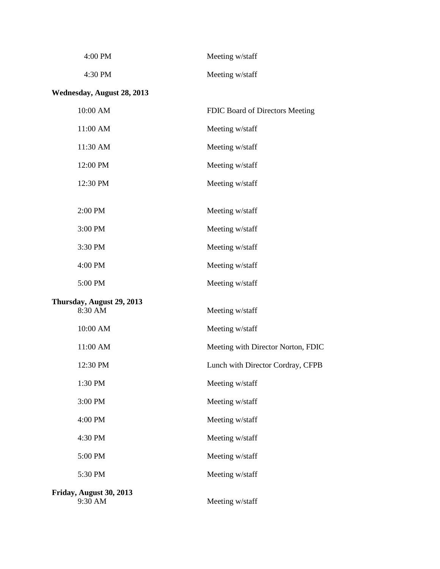| $4:00 \text{ PM}$ | Meeting w/staff |
|-------------------|-----------------|
| $4:30$ PM         | Meeting w/staff |

## **Wednesday, August 28, 2013**

| 10:00 AM                             | FDIC Board of Directors Meeting    |
|--------------------------------------|------------------------------------|
| 11:00 AM                             | Meeting w/staff                    |
| 11:30 AM                             | Meeting w/staff                    |
| 12:00 PM                             | Meeting w/staff                    |
| 12:30 PM                             | Meeting w/staff                    |
| 2:00 PM                              | Meeting w/staff                    |
| 3:00 PM                              | Meeting w/staff                    |
| 3:30 PM                              | Meeting w/staff                    |
| 4:00 PM                              | Meeting w/staff                    |
| 5:00 PM                              | Meeting w/staff                    |
| Thursday, August 29, 2013<br>8:30 AM | Meeting w/staff                    |
| 10:00 AM                             | Meeting w/staff                    |
| 11:00 AM                             | Meeting with Director Norton, FDIC |
| 12:30 PM                             | Lunch with Director Cordray, CFPB  |
| 1:30 PM                              | Meeting w/staff                    |
| 3:00 PM                              | Meeting w/staff                    |
| 4:00 PM                              | Meeting w/staff                    |
| 4:30 PM                              | Meeting w/staff                    |
| 5:00 PM                              | Meeting w/staff                    |
| 5:30 PM                              | Meeting w/staff                    |
| Friday, August 30, 2013<br>9:30 AM   | Meeting w/staff                    |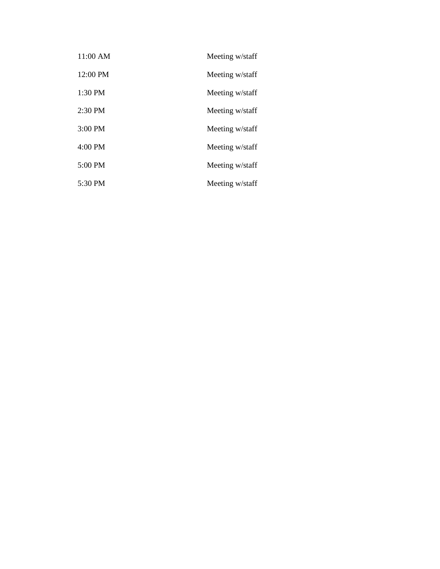| 11:00 AM          | Meeting w/staff |
|-------------------|-----------------|
| 12:00 PM          | Meeting w/staff |
| 1:30 PM           | Meeting w/staff |
| $2:30$ PM         | Meeting w/staff |
| $3:00$ PM         | Meeting w/staff |
| $4:00$ PM         | Meeting w/staff |
| $5:00 \text{ PM}$ | Meeting w/staff |
| 5:30 PM           | Meeting w/staff |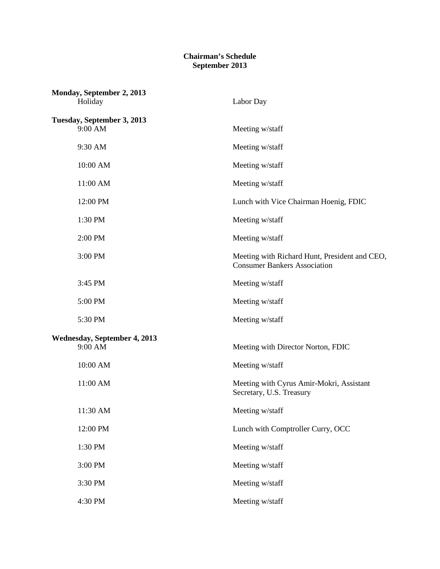## **Chairman's Schedule September 2013**

| Monday, September 2, 2013<br>Holiday           | Labor Day                                                                            |
|------------------------------------------------|--------------------------------------------------------------------------------------|
| Tuesday, September 3, 2013<br>9:00 AM          | Meeting w/staff                                                                      |
| 9:30 AM                                        | Meeting w/staff                                                                      |
| 10:00 AM                                       | Meeting w/staff                                                                      |
| 11:00 AM                                       | Meeting w/staff                                                                      |
| 12:00 PM                                       | Lunch with Vice Chairman Hoenig, FDIC                                                |
| 1:30 PM                                        | Meeting w/staff                                                                      |
| 2:00 PM                                        | Meeting w/staff                                                                      |
| 3:00 PM                                        | Meeting with Richard Hunt, President and CEO,<br><b>Consumer Bankers Association</b> |
| 3:45 PM                                        | Meeting w/staff                                                                      |
| 5:00 PM                                        | Meeting w/staff                                                                      |
| 5:30 PM                                        | Meeting w/staff                                                                      |
| <b>Wednesday, September 4, 2013</b><br>9:00 AM | Meeting with Director Norton, FDIC                                                   |
| 10:00 AM                                       | Meeting w/staff                                                                      |
| 11:00 AM                                       | Meeting with Cyrus Amir-Mokri, Assistant<br>Secretary, U.S. Treasury                 |
| 11:30 AM                                       | Meeting w/staff                                                                      |
| 12:00 PM                                       | Lunch with Comptroller Curry, OCC                                                    |
| 1:30 PM                                        | Meeting w/staff                                                                      |
| 3:00 PM                                        | Meeting w/staff                                                                      |
| 3:30 PM                                        | Meeting w/staff                                                                      |
| 4:30 PM                                        | Meeting w/staff                                                                      |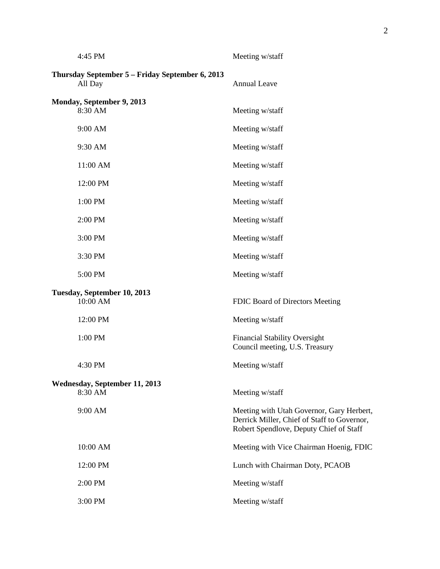| 4:45 PM                                                    | Meeting w/staff                                                                                                                     |
|------------------------------------------------------------|-------------------------------------------------------------------------------------------------------------------------------------|
| Thursday September 5 - Friday September 6, 2013<br>All Day | <b>Annual Leave</b>                                                                                                                 |
| Monday, September 9, 2013<br>8:30 AM                       | Meeting w/staff                                                                                                                     |
| 9:00 AM                                                    | Meeting w/staff                                                                                                                     |
| 9:30 AM                                                    | Meeting w/staff                                                                                                                     |
| 11:00 AM                                                   | Meeting w/staff                                                                                                                     |
| 12:00 PM                                                   | Meeting w/staff                                                                                                                     |
| 1:00 PM                                                    | Meeting w/staff                                                                                                                     |
| 2:00 PM                                                    | Meeting w/staff                                                                                                                     |
| 3:00 PM                                                    | Meeting w/staff                                                                                                                     |
| 3:30 PM                                                    | Meeting w/staff                                                                                                                     |
| 5:00 PM                                                    | Meeting w/staff                                                                                                                     |
| Tuesday, September 10, 2013<br>10:00 AM                    | FDIC Board of Directors Meeting                                                                                                     |
| 12:00 PM                                                   | Meeting w/staff                                                                                                                     |
| 1:00 PM                                                    | <b>Financial Stability Oversight</b><br>Council meeting, U.S. Treasury                                                              |
| 4:30 PM                                                    | Meeting w/staff                                                                                                                     |
| Wednesday, September 11, 2013<br>8:30 AM                   | Meeting w/staff                                                                                                                     |
| 9:00 AM                                                    | Meeting with Utah Governor, Gary Herbert,<br>Derrick Miller, Chief of Staff to Governor,<br>Robert Spendlove, Deputy Chief of Staff |
| 10:00 AM                                                   | Meeting with Vice Chairman Hoenig, FDIC                                                                                             |
| 12:00 PM                                                   | Lunch with Chairman Doty, PCAOB                                                                                                     |
| 2:00 PM                                                    | Meeting w/staff                                                                                                                     |
| 3:00 PM                                                    | Meeting w/staff                                                                                                                     |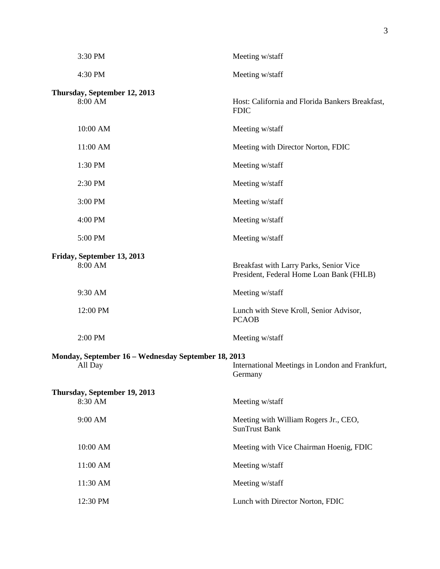| 3:30 PM                                                        | Meeting w/staff                                                                     |
|----------------------------------------------------------------|-------------------------------------------------------------------------------------|
| 4:30 PM                                                        | Meeting w/staff                                                                     |
| Thursday, September 12, 2013<br>8:00 AM                        | Host: California and Florida Bankers Breakfast,<br><b>FDIC</b>                      |
| 10:00 AM                                                       | Meeting w/staff                                                                     |
| 11:00 AM                                                       | Meeting with Director Norton, FDIC                                                  |
| 1:30 PM                                                        | Meeting w/staff                                                                     |
| 2:30 PM                                                        | Meeting w/staff                                                                     |
| 3:00 PM                                                        | Meeting w/staff                                                                     |
| 4:00 PM                                                        | Meeting w/staff                                                                     |
| 5:00 PM                                                        | Meeting w/staff                                                                     |
| Friday, September 13, 2013<br>8:00 AM                          | Breakfast with Larry Parks, Senior Vice<br>President, Federal Home Loan Bank (FHLB) |
| 9:30 AM                                                        | Meeting w/staff                                                                     |
| 12:00 PM                                                       | Lunch with Steve Kroll, Senior Advisor,<br><b>PCAOB</b>                             |
| 2:00 PM                                                        | Meeting w/staff                                                                     |
| Monday, September 16 - Wednesday September 18, 2013<br>All Day | International Meetings in London and Frankfurt,<br>Germany                          |
| Thursday, September 19, 2013<br>8:30 AM                        | Meeting w/staff                                                                     |
| 9:00 AM                                                        | Meeting with William Rogers Jr., CEO,<br><b>SunTrust Bank</b>                       |
| 10:00 AM                                                       | Meeting with Vice Chairman Hoenig, FDIC                                             |
| 11:00 AM                                                       | Meeting w/staff                                                                     |
| 11:30 AM                                                       | Meeting w/staff                                                                     |
| 12:30 PM                                                       | Lunch with Director Norton, FDIC                                                    |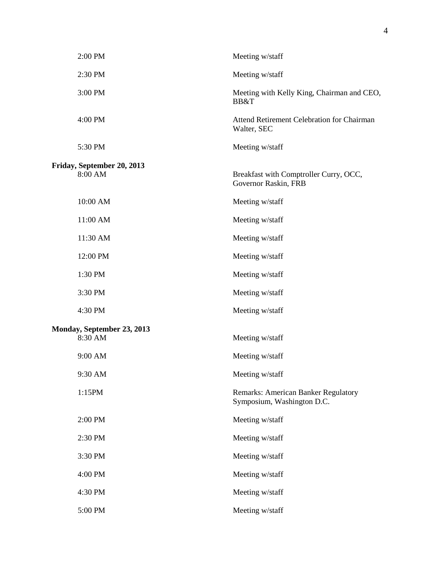| 2:00 PM                               | Meeting w/staff                                                          |
|---------------------------------------|--------------------------------------------------------------------------|
| 2:30 PM                               | Meeting w/staff                                                          |
| 3:00 PM                               | Meeting with Kelly King, Chairman and CEO,<br>BB&T                       |
| 4:00 PM                               | <b>Attend Retirement Celebration for Chairman</b><br>Walter, SEC         |
| 5:30 PM                               | Meeting w/staff                                                          |
| Friday, September 20, 2013<br>8:00 AM | Breakfast with Comptroller Curry, OCC,<br>Governor Raskin, FRB           |
| 10:00 AM                              | Meeting w/staff                                                          |
| 11:00 AM                              | Meeting w/staff                                                          |
| 11:30 AM                              | Meeting w/staff                                                          |
| 12:00 PM                              | Meeting w/staff                                                          |
| 1:30 PM                               | Meeting w/staff                                                          |
| 3:30 PM                               | Meeting w/staff                                                          |
| 4:30 PM                               | Meeting w/staff                                                          |
| Monday, September 23, 2013<br>8:30 AM | Meeting w/staff                                                          |
| 9:00 AM                               | Meeting w/staff                                                          |
| 9:30 AM                               | Meeting w/staff                                                          |
| 1:15PM                                | <b>Remarks: American Banker Regulatory</b><br>Symposium, Washington D.C. |
| 2:00 PM                               | Meeting w/staff                                                          |
| 2:30 PM                               | Meeting w/staff                                                          |
| 3:30 PM                               | Meeting w/staff                                                          |
| 4:00 PM                               | Meeting w/staff                                                          |
| 4:30 PM                               | Meeting w/staff                                                          |
| 5:00 PM                               | Meeting w/staff                                                          |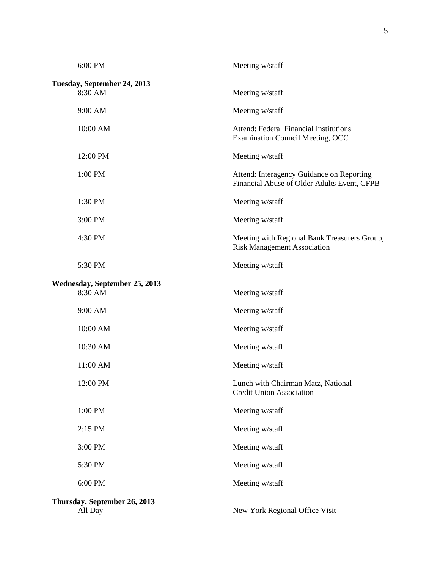| 6:00 PM                                  | Meeting w/staff                                                                          |
|------------------------------------------|------------------------------------------------------------------------------------------|
| Tuesday, September 24, 2013<br>8:30 AM   | Meeting w/staff                                                                          |
| 9:00 AM                                  | Meeting w/staff                                                                          |
| 10:00 AM                                 | Attend: Federal Financial Institutions<br><b>Examination Council Meeting, OCC</b>        |
| 12:00 PM                                 | Meeting w/staff                                                                          |
| 1:00 PM                                  | Attend: Interagency Guidance on Reporting<br>Financial Abuse of Older Adults Event, CFPB |
| 1:30 PM                                  | Meeting w/staff                                                                          |
| 3:00 PM                                  | Meeting w/staff                                                                          |
| 4:30 PM                                  | Meeting with Regional Bank Treasurers Group,<br><b>Risk Management Association</b>       |
| 5:30 PM                                  | Meeting w/staff                                                                          |
| Wednesday, September 25, 2013<br>8:30 AM | Meeting w/staff                                                                          |
| 9:00 AM                                  | Meeting w/staff                                                                          |
| 10:00 AM                                 | Meeting w/staff                                                                          |
| 10:30 AM                                 | Meeting w/staff                                                                          |
| 11:00 AM                                 | Meeting w/staff                                                                          |
| 12:00 PM                                 | Lunch with Chairman Matz, National<br><b>Credit Union Association</b>                    |
| 1:00 PM                                  | Meeting w/staff                                                                          |
| 2:15 PM                                  | Meeting w/staff                                                                          |
| 3:00 PM                                  | Meeting w/staff                                                                          |
| 5:30 PM                                  | Meeting w/staff                                                                          |
| 6:00 PM                                  | Meeting w/staff                                                                          |
| Thursday, September 26, 2013<br>All Day  | New York Regional Office Visit                                                           |